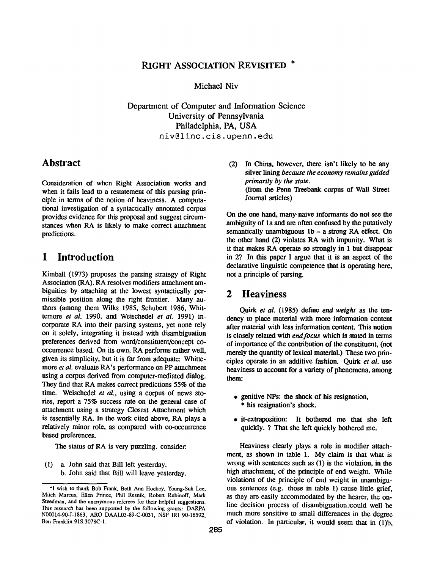### RIGHT ASSOCIATION REVISITED \*

Michael Niv

Department of Computer and Information Science University of Pennsylvania Philadelphia, PA, USA niv@linc, cis.upenn.edu

### **Abstract**

Consideration of when Right Association works and when it fails lead to a restatement of this parsing principle in terms of the notion of heaviness. A computational investigation of a syntactically annotated corpus provides evidence for this proposal and suggest circumstances when RA is likely to make correct attachment predictions.

## **1 Introduction**

Kimball (1973) proposes the parsing strategy of Right Association (RA). RA resolves modifiers attachment ambiguities by attaching at the lowest syntactically permissible position along the right frontier. Many authors (among them Wilks 1985, Schubert 1986, Whittemore *et al.* 1990, and Weischedel *et al.* 1991) incorporate RA into their parsing systems, yet none rely on it solely, integrating it instead with disambiguation preferences derived from word/constituent/concept cooccurrence based. On its own, RA performs rather well, given its simplicity, but it is far from adequate: Whittemore *et al.* evaluate RA's performance on PP attachment using a corpus derived from computer-mediated dialog. They find that RA makes correct predictions 55% of the time. Weischedel *et al.,* using a corpus of news stories, report a 75% success rate on the general case of attachment using a strategy Closest Attachment which is essentially RA. In the work cited above, RA plays a relatively minor role, as compared with co-occurrence based preferences.

The status of RA is very puzzling, consider:.

(1) a. John said that Bill left yesterday. b. John said that Bill will leave yesterday. **(2)** In China, however, there isn't likely to be any silver lining *because the economy remains guided primarily by the state.*  (from the Penn Treebank corpus of Wall Street Journal articles)

On the one hand, many naive informants do not see the ambiguity of la and are often confused by the putatively semantically unambiguous  $1b - a$  strong RA effect. On the other hand (2) violates RA with impunity. What is it that makes RA operate so strongly in 1 but disappear in 2? In this paper I argue that it is an aspect of the declarative linguistic competence that is operating here, not a principle of parsing.

# **2 Heaviness**

Quirk *et al.* (1985) define *end weight* as the tendency to place material with more information content after material with less information content. This notion is closely related with *end focus* which is stated in terms of importance of the contribution of the constituent, (not merely the quantity of lexical material.) These two principles operate in an additive fashion. Quirk *et al.* use heaviness to account for a variety of phenomena, among them:

- genitive NPs: the shock of his resignation, \* his resignation's shock.
- it-extraposition: It bothered me that she left quickly. ? That she left quickly bothered me.

Heaviness clearly plays a role in modifier attachment, as shown in table 1. My claim is that what is wrong with sentences such as (1) is the violation, in the high attachment, of the principle of end weight. While violations of the principle of end weight in unambiguous sentences (e.g. those in table 1) cause little grief, as they are easily accommodated by the hearer, the online decision process of disambiguation could well be much more sensitive to small differences in the degree of violation. In particular, it would seem that in (1)b,

<sup>&</sup>quot;I wish to thank Bob Frank, Beth Ann Hockey, Yonng-Snk Lee, Mitch Marcus, Ellen Prince, Phil Resnik, Robert Rubinoff, Mark Steedman, and the anonymous referees for their helpful suggestions. This research has been supported by the following grants: DARPA N00014-90-J-1863, ARO DAAL03-89-C-0031, NSF IRI 90-16592, Ben Franklin 91S.3078C-1.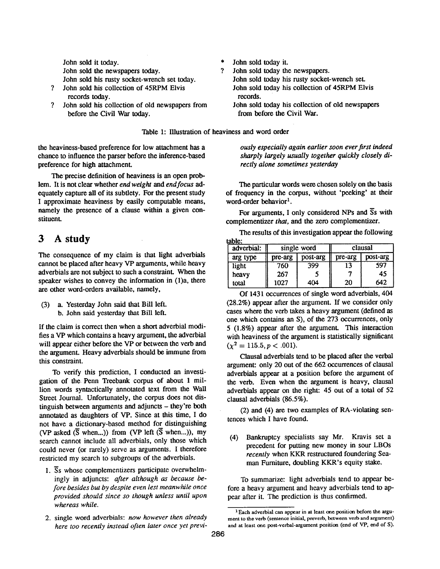John sold it today. John sold the newspapers today. John sold his rusty socket-wrench set today.

- $\gamma$ John sold his collection of 45RPM Elvis records today.
- John sold his collection of old newspapers from  $\mathcal{P}$ before the Civil War today.
- John sold today it.  $\boldsymbol{\gamma}$ 
	- John sold today the newspapers. John sold today his rusty socket-wrench set. John sold today his collection of 45RPM Elvis records.
		- John sold today his collection of old newspapers from before the Civil War.

Table I: Illustration of heaviness and word order

the heaviness-based preference for low attachment has a chance to influence the parser before the inference-based preference for high attachment.

The precise definition of heaviness is an open problem. It is not clear whether *end weight and end focus* adequately capture all of its subtlety. For the present study I approximate heaviness by easily computable means, namely the presence of a clause within a given constituent.

# **3 A study**

The consequence of my claim is that light adverbials cannot be placed after heavy VP arguments, while heavy adverbials are not subject to such a constraint. When the speaker wishes to convey the information in (1)a, there are other word-orders available, namely,

(3) a. Yesterday John said that Bill left. b. John said yesterday that Bill left.

If the claim is correct then when a short adverbial modifies a VP which contains a heavy argument, the adverbial will appear either before the VP or between the verb and the argument. Heavy adverbials should be immune from this constraint.

To verify this prediction, I conducted an investigation of the Penn Treebank corpus of about 1 million words syntactically annotated text from the Wall Street Journal. Unfortunately, the corpus does not distinguish between arguments and adjuncts – they're both annotated as daughters of VP. Since at this time, I do not have a dictionary-based method for distinguishing (VP asked  $(\overline{S}$  when...)) from (VP left  $(\overline{S}$  when...)), my search cannot include all adverbials, only those which could never (or rarely) serve as arguments. I therefore restricted my search to subgroups of the adverbials.

- 1. Ss whose complementizers participate overwhelmingly in adjuncts: *after although as because before besides but by despite even lest meanwhile once provided should since so though unless until upon whereas while.*
- 2. single word adverbials: *now however then already here too recently instead often later once yet previ-*

*ously especially again earlier soon ever jirst indeed sharply largely usually together quickly closely directly alone sometimes yesterday* 

The particular words were chosen solely on the basis of frequency in the corpus, without 'peeking' at their word-order behavior<sup>1</sup>.

For arguments, I only considered NPs and  $\overline{S}$ s with complementizer *that,* and the zero complementizer.

The results of this investigation appear the following toble:

| adverbial: | single word |          | clausal |          |
|------------|-------------|----------|---------|----------|
| arg type   | pre-arg     | post-arg | pre-arg | post-arg |
| light      | 760         | 399      | 13      | 597      |
| heavy      | 267         |          |         | 45       |
| total      | 1027        | 404      | 20      | 642      |

Of 1431 occurrences of single word adverbials, 404 (28.2%) appear after the argument. If we consider only cases where the verb takes a heavy argument (defined as one which contains an S), of the 273 occurrences, only 5 (1.8%) appear after the argument. This interaction with heaviness of the argument is statistically significant  $(\chi^2 = 115.5, p < .001).$ 

Clausal adverbials tend to be placed after the verbal argument: only 20 out of the 662 occurrences of clausal adverbials appear at a position before the argument of the verb. Even when the argument is heavy, clausal adverbials appear on the right: 45 out of a total of 52 clausal adverbials (86.5%).

(2) and (4) are two examples of RA-violating sentences which I have found.

(4) Bankruptcy specialists say Mr. Kravis set a precedent for putting new money in sour LBOs *recently* when KKR restructured foundering Seaman Furniture, doubling KKR's equity stake.

To summarize: light adverbials tend to appear before a heavy argument and heavy adverbials tend to appear after it. The prediction is thus confirmed.

<sup>&</sup>lt;sup>1</sup> Each adverbial can appear in at least one position before the argument to the verb (sentence initial, preverb, between verb and argument) and at least one post-verbal-argument position (end of VP, end of S).